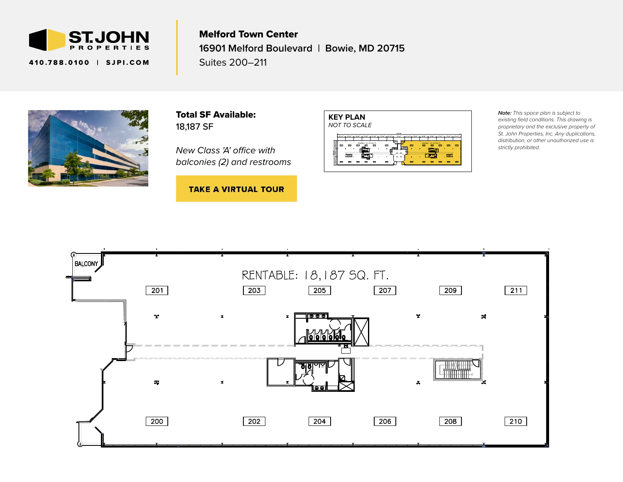

410.788.0100 | [SJPI.COM](http://www.sjpi.com)

Melford Town Center **16901 Melford Boulevard | Bowie, MD 20715** Suites 200–211



Total SF Available: 18,187 SF

*New Class 'A' office with balconies (2) and restrooms*

**TAKE A VIRTUAL TOUR** 



*Note: This space plan is subject to existing field conditions. This drawing is proprietary and the exclusive property of St. John Properties, Inc. Any duplications, distribution, or other unauthorized use is strictly prohibited.*